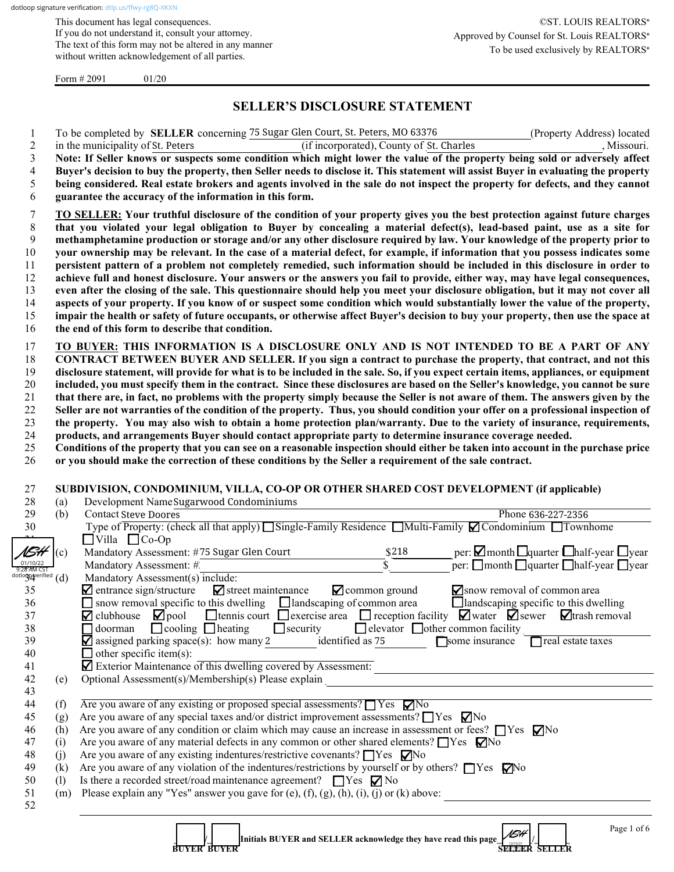This document has legal consequences. If you do not understand it, consult your attorney. The text of this form may not be altered in any manner without written acknowledgement of all parties.

Form  $\# 2091$  01/20

# **SELLER'S DISCLOSURE STATEMENT**

1 To be completed by **SELLER** concerning 75 Sugar Glen Court, St. Peters, MO 63376 (Property Address) located

| $\overline{c}$            |                                                                                                                                | in the municipality of St. Peters<br>(if incorporated), County of St. Charles<br>, Missouri.                                                                    |  |  |  |  |
|---------------------------|--------------------------------------------------------------------------------------------------------------------------------|-----------------------------------------------------------------------------------------------------------------------------------------------------------------|--|--|--|--|
| $\mathfrak{Z}$            |                                                                                                                                | Note: If Seller knows or suspects some condition which might lower the value of the property being sold or adversely affect                                     |  |  |  |  |
| $\overline{\mathcal{L}}$  |                                                                                                                                | Buyer's decision to buy the property, then Seller needs to disclose it. This statement will assist Buyer in evaluating the property                             |  |  |  |  |
| 5                         | being considered. Real estate brokers and agents involved in the sale do not inspect the property for defects, and they cannot |                                                                                                                                                                 |  |  |  |  |
| 6                         | guarantee the accuracy of the information in this form.                                                                        |                                                                                                                                                                 |  |  |  |  |
|                           |                                                                                                                                |                                                                                                                                                                 |  |  |  |  |
| 7                         |                                                                                                                                | <b>TO SELLER:</b> Your truthful disclosure of the condition of your property gives you the best protection against future charges                               |  |  |  |  |
| $\,8\,$                   |                                                                                                                                | that you violated your legal obligation to Buyer by concealing a material defect(s), lead-based paint, use as a site for                                        |  |  |  |  |
| 9                         |                                                                                                                                | methamphetamine production or storage and/or any other disclosure required by law. Your knowledge of the property prior to                                      |  |  |  |  |
| 10                        |                                                                                                                                | your ownership may be relevant. In the case of a material defect, for example, if information that you possess indicates some                                   |  |  |  |  |
| 11                        |                                                                                                                                | persistent pattern of a problem not completely remedied, such information should be included in this disclosure in order to                                     |  |  |  |  |
| 12                        |                                                                                                                                | achieve full and honest disclosure. Your answers or the answers you fail to provide, either way, may have legal consequences,                                   |  |  |  |  |
| 13                        |                                                                                                                                | even after the closing of the sale. This questionnaire should help you meet your disclosure obligation, but it may not cover all                                |  |  |  |  |
| 14                        |                                                                                                                                | aspects of your property. If you know of or suspect some condition which would substantially lower the value of the property,                                   |  |  |  |  |
| 15                        |                                                                                                                                | impair the health or safety of future occupants, or otherwise affect Buyer's decision to buy your property, then use the space at                               |  |  |  |  |
| 16                        |                                                                                                                                | the end of this form to describe that condition.                                                                                                                |  |  |  |  |
|                           |                                                                                                                                |                                                                                                                                                                 |  |  |  |  |
| 17                        |                                                                                                                                | TO BUYER: THIS INFORMATION IS A DISCLOSURE ONLY AND IS NOT INTENDED TO BE A PART OF ANY                                                                         |  |  |  |  |
| 18                        |                                                                                                                                | CONTRACT BETWEEN BUYER AND SELLER. If you sign a contract to purchase the property, that contract, and not this                                                 |  |  |  |  |
| 19                        |                                                                                                                                | disclosure statement, will provide for what is to be included in the sale. So, if you expect certain items, appliances, or equipment                            |  |  |  |  |
| 20                        |                                                                                                                                | included, you must specify them in the contract. Since these disclosures are based on the Seller's knowledge, you cannot be sure                                |  |  |  |  |
| 21                        |                                                                                                                                | that there are, in fact, no problems with the property simply because the Seller is not aware of them. The answers given by the                                 |  |  |  |  |
| 22                        |                                                                                                                                | Seller are not warranties of the condition of the property. Thus, you should condition your offer on a professional inspection of                               |  |  |  |  |
| 23                        |                                                                                                                                | the property. You may also wish to obtain a home protection plan/warranty. Due to the variety of insurance, requirements,                                       |  |  |  |  |
| 24                        |                                                                                                                                | products, and arrangements Buyer should contact appropriate party to determine insurance coverage needed.                                                       |  |  |  |  |
| 25                        |                                                                                                                                | Conditions of the property that you can see on a reasonable inspection should either be taken into account in the purchase price                                |  |  |  |  |
| 26                        |                                                                                                                                | or you should make the correction of these conditions by the Seller a requirement of the sale contract.                                                         |  |  |  |  |
|                           |                                                                                                                                |                                                                                                                                                                 |  |  |  |  |
|                           |                                                                                                                                |                                                                                                                                                                 |  |  |  |  |
| 27                        |                                                                                                                                | SUBDIVISION, CONDOMINIUM, VILLA, CO-OP OR OTHER SHARED COST DEVELOPMENT (if applicable)                                                                         |  |  |  |  |
| 28                        | (a)                                                                                                                            | Development NameSugarwood Condominiums                                                                                                                          |  |  |  |  |
| 29                        | (b)                                                                                                                            | <b>Contact Steve Doores</b><br>Phone 636-227-2356                                                                                                               |  |  |  |  |
| 30                        |                                                                                                                                | Type of Property: (check all that apply) Single-Family Residence Multi-Family $\Box$ Condominium $\Box$ Townhome                                                |  |  |  |  |
|                           |                                                                                                                                | $\Box$ Villa $\Box$ Co-Op                                                                                                                                       |  |  |  |  |
| NSH                       | (c)                                                                                                                            | per: $\Box$ month $\Box$ quarter $\Box$ half-year $\Box$ year<br>Mandatory Assessment: #75 Sugar Glen Court<br>\$218                                            |  |  |  |  |
| 01/10/22<br>9:28 AM CST   |                                                                                                                                | $\bar{s}$<br>$\Gamma$ per: $\Box$ month $\Box$ quarter $\Box$ half-year $\Box$ year<br>Mandatory Assessment: #                                                  |  |  |  |  |
| dotlogo $q$ erified $(d)$ |                                                                                                                                | Mandatory Assessment(s) include:                                                                                                                                |  |  |  |  |
| 35                        |                                                                                                                                | $\blacksquare$ entrance sign/structure<br>$\blacksquare$ common ground<br>$\blacktriangleright$ street maintenance<br>Snow removal of common area               |  |  |  |  |
| 36                        |                                                                                                                                | $\Box$ snow removal specific to this dwelling $\Box$ landscaping of common area<br>$\Box$ landscaping specific to this dwelling                                 |  |  |  |  |
| 37                        |                                                                                                                                | $\Box$ pool $\Box$ tennis court $\Box$ exercise area $\Box$ reception facility $\Box$ water $\Box$ sewer $\Box$ trash removal<br>$\blacktriangledown$ clubhouse |  |  |  |  |
| 38                        |                                                                                                                                | $\Box$ security<br>$\Box$ cooling $\Box$ heating<br>$\Box$ elevator $\Box$ other common facility<br>$\Box$ doorman                                              |  |  |  |  |
| 39                        |                                                                                                                                | $\blacktriangleright$ assigned parking space(s): how many 2<br>identified as 75<br>□ some insurance □ real estate taxes                                         |  |  |  |  |
| 40                        |                                                                                                                                | $\Box$ other specific item(s):                                                                                                                                  |  |  |  |  |
| 41                        |                                                                                                                                | Exterior Maintenance of this dwelling covered by Assessment:                                                                                                    |  |  |  |  |
| 42                        | (e)                                                                                                                            | Optional Assessment(s)/Membership(s) Please explain                                                                                                             |  |  |  |  |
| 43                        |                                                                                                                                |                                                                                                                                                                 |  |  |  |  |
| 44                        | (f)                                                                                                                            | Are you aware of any existing or proposed special assessments? $\Box$ Yes $\Box$ No                                                                             |  |  |  |  |
| 45                        |                                                                                                                                | Are you aware of any special taxes and/or district improvement assessments? ■ Yes ■ No                                                                          |  |  |  |  |
|                           | (g)                                                                                                                            |                                                                                                                                                                 |  |  |  |  |
| 46                        | (h)                                                                                                                            | Are you aware of any condition or claim which may cause an increase in assessment or fees? $\Box$ Yes $\nabla$ No                                               |  |  |  |  |
| 47                        | (i)                                                                                                                            | Are you aware of any material defects in any common or other shared elements? $\Box$ Yes $\Box$ No                                                              |  |  |  |  |
| 48                        | (j)                                                                                                                            | Are you aware of any existing indentures/restrictive covenants? □ Yes □ No                                                                                      |  |  |  |  |
| 49                        | (k)                                                                                                                            | Are you aware of any violation of the indentures/restrictions by yourself or by others? TYes No                                                                 |  |  |  |  |
| 50                        | (1)                                                                                                                            | Is there a recorded street/road maintenance agreement? $\Box$ Yes $\nabla$ No                                                                                   |  |  |  |  |
| 51                        |                                                                                                                                | (m) Please explain any "Yes" answer you gave for (e), $(f)$ , $(g)$ , $(h)$ , $(i)$ , $(j)$ or $(k)$ above:                                                     |  |  |  |  |
| 52                        |                                                                                                                                |                                                                                                                                                                 |  |  |  |  |
|                           |                                                                                                                                | Page 1 of 6<br>NSH<br>Initials BUYER and SELLER acknowledge they have read this page_                                                                           |  |  |  |  |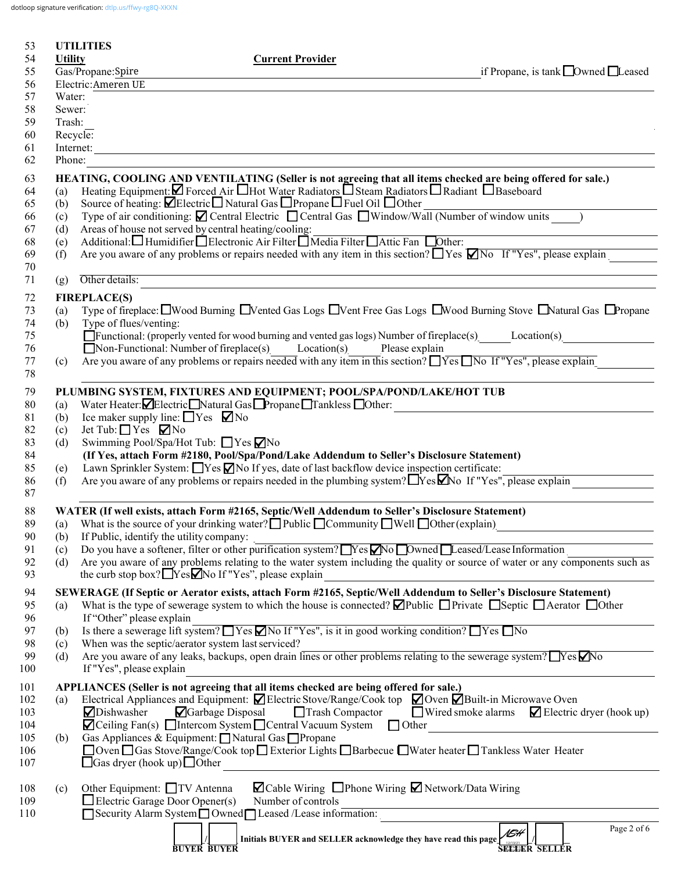dotloop signature verification: dtlp.us/ffwy-rg8Q-XKXN

| 53         |                | <b>UTILITIES</b>                                                                                                                                                                                  |                                                           |
|------------|----------------|---------------------------------------------------------------------------------------------------------------------------------------------------------------------------------------------------|-----------------------------------------------------------|
| 54         | <b>Utility</b> | <b>Current Provider</b>                                                                                                                                                                           |                                                           |
| 55         |                | Gas/Propane:Spire                                                                                                                                                                                 | if Propane, is tank $\Box$ Owned $\Box$ Leased            |
| 56         |                | Electric: Ameren UE                                                                                                                                                                               |                                                           |
| 57         | Water:         |                                                                                                                                                                                                   |                                                           |
| 58         | Sewer:         |                                                                                                                                                                                                   |                                                           |
| 59         | Trash:         |                                                                                                                                                                                                   |                                                           |
| 60         |                | Recycle:                                                                                                                                                                                          |                                                           |
| 61         |                | Internet:<br><u> 1989 - Johann Stoff, deutscher Stoffen und der Stoffen und der Stoffen und der Stoffen und der Stoffen und der</u>                                                               |                                                           |
| 62         | Phone:         |                                                                                                                                                                                                   |                                                           |
| 63         |                | HEATING, COOLING AND VENTILATING (Seller is not agreeing that all items checked are being offered for sale.)                                                                                      |                                                           |
| 64         | (a)            | Heating Equipment: Ø Forced Air UHot Water Radiators USteam Radiators U Radiant U Baseboard                                                                                                       |                                                           |
| 65         | (b)            | Source of heating: <b>ØElectric</b> Natural Gas <b>□</b> Propane □ Fuel Oil □ Other                                                                                                               |                                                           |
| 66         | (c)            | Type of air conditioning: $\Box$ Central Electric $\Box$ Central Gas $\Box$ Window/Wall (Number of window units )                                                                                 |                                                           |
| 67         | (d)            | Areas of house not served by central heating/cooling:                                                                                                                                             |                                                           |
| 68         | (e)            | Additional: Humidifier Electronic Air Filter Media Filter Attic Fan Dother:                                                                                                                       |                                                           |
| 69         | (f)            | Are you aware of any problems or repairs needed with any item in this section? $\Box$ Yes $\Box$ No If "Yes", please explain                                                                      |                                                           |
| 70<br>71   | (g)            | the control of the control of the control of the control of the control of the control of<br>Other details:                                                                                       |                                                           |
|            |                | the control of the control of the control of the control of the control of the control of                                                                                                         |                                                           |
| 72         |                | <b>FIREPLACE(S)</b>                                                                                                                                                                               |                                                           |
| 73         | (a)            | Type of fireplace: I Wood Burning I Vented Gas Logs I Vent Free Gas Logs I Wood Burning Stove I Natural Gas I Propane<br>Type of flues/venting:                                                   |                                                           |
| 74<br>75   | (b)            |                                                                                                                                                                                                   |                                                           |
| 76         |                | $\Box$ Non-Functional: Number of fireplace(s) Location(s) Please explain                                                                                                                          |                                                           |
| 77         | (c)            | Are you aware of any problems or repairs needed with any item in this section? $\Box$ Yes $\Box$ No If "Yes", please explain                                                                      |                                                           |
| 78         |                |                                                                                                                                                                                                   |                                                           |
| 79         |                | PLUMBING SYSTEM, FIXTURES AND EQUIPMENT; POOL/SPA/POND/LAKE/HOT TUB                                                                                                                               |                                                           |
| 80         | (a)            | Water Heater: Electric Natural Gas Propane Tankless Other:                                                                                                                                        | <u> 1980 - John Stein, Amerikaansk politiker (</u>        |
| 81         | (b)            | Ice maker supply line: $\Box$ Yes $\nabla$ No                                                                                                                                                     |                                                           |
| 82         | (c)            | Jet Tub: $\Box$ Yes $\nabla$ No                                                                                                                                                                   |                                                           |
| 83         | (d)            | Swimming Pool/Spa/Hot Tub: $\Box$ Yes $\nabla$ No                                                                                                                                                 |                                                           |
| 84         |                | (If Yes, attach Form #2180, Pool/Spa/Pond/Lake Addendum to Seller's Disclosure Statement)                                                                                                         |                                                           |
| 85         | (e)            | Lawn Sprinkler System: Nes No If yes, date of last backflow device inspection certificate:                                                                                                        |                                                           |
| 86         | (f)            | Are you aware of any problems or repairs needed in the plumbing system? Nes Mo If "Yes", please explain                                                                                           |                                                           |
| 87         |                |                                                                                                                                                                                                   |                                                           |
| 88         |                | WATER (If well exists, attach Form #2165, Septic/Well Addendum to Seller's Disclosure Statement)                                                                                                  |                                                           |
| 89         |                | (a) What is the source of your drinking water? $\Box$ Public $\Box$ Community $\Box$ Well $\Box$ Other (explain)                                                                                  |                                                           |
| 90         | (b)            | If Public, identify the utility company:                                                                                                                                                          |                                                           |
| 91         | (c)            | Do you have a softener, filter or other purification system? Nes No Dwned Leased/Lease Information                                                                                                |                                                           |
| 92<br>93   | (d)            | Are you aware of any problems relating to the water system including the quality or source of water or any components such as<br>the curb stop box? $\Box$ Yes $\Box$ No If "Yes", please explain |                                                           |
|            |                |                                                                                                                                                                                                   |                                                           |
| 94         |                | SEWERAGE (If Septic or Aerator exists, attach Form #2165, Septic/Well Addendum to Seller's Disclosure Statement)                                                                                  |                                                           |
| 95<br>96   | (a)            | What is the type of sewerage system to which the house is connected? $\Box$ Public $\Box$ Private $\Box$ Septic $\Box$ Aerator $\Box$ Other<br>If "Other" please explain                          |                                                           |
| 97         |                | Is there a sewerage lift system? $\Box$ Yes $\Box$ No If "Yes", is it in good working condition? $\Box$ Yes $\Box$ No                                                                             |                                                           |
| 98         | (b)<br>(c)     | When was the septic/aerator system last serviced?                                                                                                                                                 |                                                           |
| 99         | (d)            | Are you aware of any leaks, backups, open drain lines or other problems relating to the sewerage system? $Yes$ No                                                                                 |                                                           |
| 100        |                | If "Yes", please explain                                                                                                                                                                          |                                                           |
| 101        |                | APPLIANCES (Seller is not agreeing that all items checked are being offered for sale.)                                                                                                            |                                                           |
| 102        | (a)            | Electrical Appliances and Equipment: $\Box$ Electric Stove/Range/Cook top $\Box$ Oven $\Box$ Built-in Microwave Oven                                                                              |                                                           |
| 103        |                | ⊿Dishwasher<br>Garbage Disposal<br>Trash Compactor                                                                                                                                                | $\Box$ Wired smoke alarms $\Box$ Electric dryer (hook up) |
| 104        |                | $\Box$ Ceiling Fan(s) $\Box$ Intercom System $\Box$ Central Vacuum System $\Box$ Other                                                                                                            |                                                           |
| 105        | (b)            | Gas Appliances & Equipment: □ Natural Gas □ Propane                                                                                                                                               |                                                           |
| 106        |                | □ Oven □ Gas Stove/Range/Cook top □ Exterior Lights □ Barbecue □ Water heater □ Tankless Water Heater                                                                                             |                                                           |
| 107        |                | $\Box$ Gas dryer (hook up) $\Box$ Other                                                                                                                                                           |                                                           |
|            |                | $\blacksquare$ Cable Wiring $\blacksquare$ Phone Wiring $\blacksquare$ Network/Data Wiring<br>Other Equipment: □TV Antenna                                                                        |                                                           |
| 108<br>109 | (c)            | $\Box$ Electric Garage Door Opener(s)<br>Number of controls                                                                                                                                       |                                                           |
| 110        |                | Security Alarm System Owned Leased /Lease information:                                                                                                                                            |                                                           |
|            |                |                                                                                                                                                                                                   | Page 2 of 6                                               |
|            |                | Initials BUYER and SELLER acknowledge they have read this page                                                                                                                                    | <b>NSH</b>                                                |
|            |                | <b>BUYER BUYER</b>                                                                                                                                                                                | <b>SEE SELLER</b>                                         |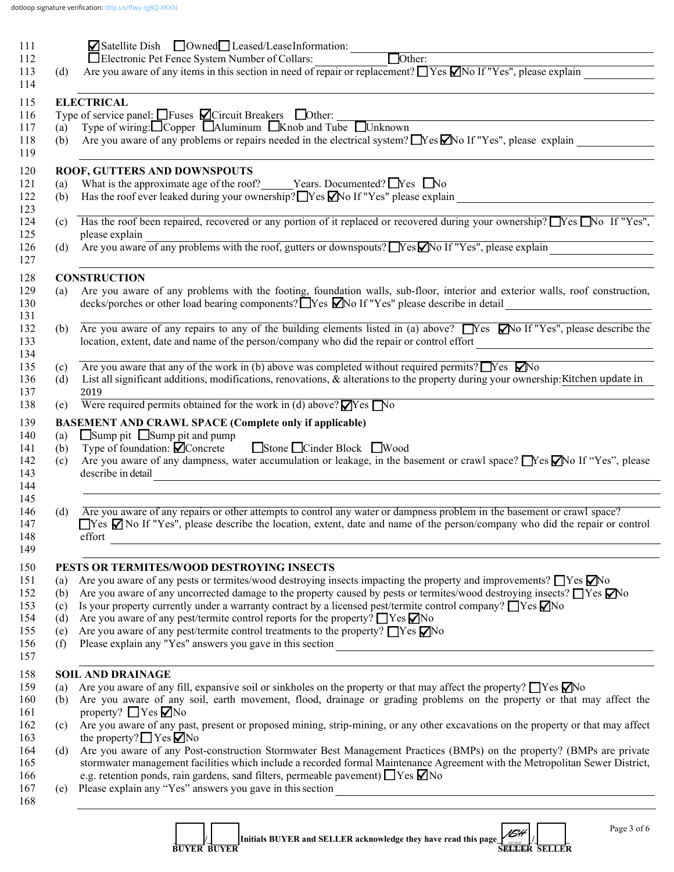| 111        |            | Satellite Dish Downed Leased/LeaseInformation: Dother:                                                                                                                                                                                                                                                                                                          |  |  |  |  |
|------------|------------|-----------------------------------------------------------------------------------------------------------------------------------------------------------------------------------------------------------------------------------------------------------------------------------------------------------------------------------------------------------------|--|--|--|--|
| 112        |            |                                                                                                                                                                                                                                                                                                                                                                 |  |  |  |  |
| 113        | (d)        | Are you aware of any items in this section in need of repair or replacement? $\Box$ Yes $\Box$ No If "Yes", please explain $\Box$                                                                                                                                                                                                                               |  |  |  |  |
| 114        |            |                                                                                                                                                                                                                                                                                                                                                                 |  |  |  |  |
| 115        |            | <b>ELECTRICAL</b>                                                                                                                                                                                                                                                                                                                                               |  |  |  |  |
| 116        |            | Type of service panel: $\Box$ Fuses $\Box$ Circuit Breakers $\Box$ Other:                                                                                                                                                                                                                                                                                       |  |  |  |  |
| 117        | (a)        | Type of wiring: $\Box$ Copper $\Box$ Aluminum $\Box$ Knob and Tube $\Box$ Unknown                                                                                                                                                                                                                                                                               |  |  |  |  |
| 118<br>119 | (b)        | Are you aware of any problems or repairs needed in the electrical system? $\Box$ Yes $\Box$ No If "Yes", please explain                                                                                                                                                                                                                                         |  |  |  |  |
| 120        |            | ROOF, GUTTERS AND DOWNSPOUTS                                                                                                                                                                                                                                                                                                                                    |  |  |  |  |
| 121        | (a)        | What is the approximate age of the roof? ______Years. Documented? $\Box$ Yes $\Box$ No                                                                                                                                                                                                                                                                          |  |  |  |  |
| 122        | (b)        | Has the roof ever leaked during your ownership? $\Box$ Yes $\Box$ No If "Yes" please explain                                                                                                                                                                                                                                                                    |  |  |  |  |
| 123<br>124 |            | (c) Has the roof been repaired, recovered or any portion of it replaced or recovered during your ownership? Nes No If "Yes",                                                                                                                                                                                                                                    |  |  |  |  |
| 125        |            | please explain                                                                                                                                                                                                                                                                                                                                                  |  |  |  |  |
| 126<br>127 | (d)        | please explain<br>Are you aware of any problems with the roof, gutters or downspouts? Nes and If "Yes", please explain                                                                                                                                                                                                                                          |  |  |  |  |
|            |            |                                                                                                                                                                                                                                                                                                                                                                 |  |  |  |  |
|            |            | <b>CONSTRUCTION</b>                                                                                                                                                                                                                                                                                                                                             |  |  |  |  |
|            | (a)        | Are you aware of any problems with the footing, foundation walls, sub-floor, interior and exterior walls, roof construction,<br>decks/porches or other load bearing components? $\Box$ Yes $\Box$ No If "Yes" please describe in detail<br><u> 1989 - Andrea Albert II, am Francisco II, am Francisco II, am Francisco II, am Francisco II, am Francisco II</u> |  |  |  |  |
|            | (b)        | Are you aware of any repairs to any of the building elements listed in (a) above? $\Box$ Yes $\Box$ No If "Yes", please describe the                                                                                                                                                                                                                            |  |  |  |  |
|            |            | location, extent, date and name of the person/company who did the repair or control effort                                                                                                                                                                                                                                                                      |  |  |  |  |
|            |            | Are you aware that any of the work in (b) above was completed without required permits? $\Box$ Yes $\Box$ No                                                                                                                                                                                                                                                    |  |  |  |  |
|            | (c)<br>(d) | List all significant additions, modifications, renovations, $\&$ alterations to the property during your ownership: Kitchen update in                                                                                                                                                                                                                           |  |  |  |  |
|            |            | 2019                                                                                                                                                                                                                                                                                                                                                            |  |  |  |  |
|            | (e)        | Were required permits obtained for the work in (d) above? $\blacksquare$ Yes $\blacksquare$ No                                                                                                                                                                                                                                                                  |  |  |  |  |
|            |            | <b>BASEMENT AND CRAWL SPACE (Complete only if applicable)</b>                                                                                                                                                                                                                                                                                                   |  |  |  |  |
|            | (a)        | $\Box$ Sump pit $\Box$ Sump pit and pump                                                                                                                                                                                                                                                                                                                        |  |  |  |  |
|            | (b)        | Type of foundation: <b>○</b> Concrete Stone Stone Cinder Block Wood                                                                                                                                                                                                                                                                                             |  |  |  |  |
|            | (c)        | Are you aware of any dampness, water accumulation or leakage, in the basement or crawl space? $\Box$ Yes $\Box$ No If "Yes", please                                                                                                                                                                                                                             |  |  |  |  |
|            |            | describe in detail<br><u> 1980 - Andrea Andrew Maria (h. 1980).</u>                                                                                                                                                                                                                                                                                             |  |  |  |  |
|            |            |                                                                                                                                                                                                                                                                                                                                                                 |  |  |  |  |
|            | (d)        | Are you aware of any repairs or other attempts to control any water or dampness problem in the basement or crawl space?                                                                                                                                                                                                                                         |  |  |  |  |
|            |            | $\Box$ Yes $\Box$ No If "Yes", please describe the location, extent, date and name of the person/company who did the repair or control                                                                                                                                                                                                                          |  |  |  |  |
|            |            | effort<br><u> 1989 - Andrea Station Barbara, actor a component de la componentación de la componentación de la componentaci</u>                                                                                                                                                                                                                                 |  |  |  |  |
|            |            |                                                                                                                                                                                                                                                                                                                                                                 |  |  |  |  |
|            |            | PESTS OR TERMITES/WOOD DESTROYING INSECTS                                                                                                                                                                                                                                                                                                                       |  |  |  |  |
|            | (a)        | Are you aware of any pests or termites/wood destroying insects impacting the property and improvements? TYes No                                                                                                                                                                                                                                                 |  |  |  |  |
|            | (b)        | Are you aware of any uncorrected damage to the property caused by pests or termites/wood destroying insects? TYes No                                                                                                                                                                                                                                            |  |  |  |  |
|            | (c)<br>(d) | Is your property currently under a warranty contract by a licensed pest/termite control company? $\Box$ Yes $\Box$ No<br>Are you aware of any pest/termite control reports for the property? $\Box$ Yes $\nabla$ No                                                                                                                                             |  |  |  |  |
|            | (e)        | Are you aware of any pest/termite control treatments to the property? $\Box$ Yes $\nabla$ No                                                                                                                                                                                                                                                                    |  |  |  |  |
|            | (f)        |                                                                                                                                                                                                                                                                                                                                                                 |  |  |  |  |
|            |            |                                                                                                                                                                                                                                                                                                                                                                 |  |  |  |  |
|            |            | <b>SOIL AND DRAINAGE</b>                                                                                                                                                                                                                                                                                                                                        |  |  |  |  |
|            | (a)        | Are you aware of any fill, expansive soil or sinkholes on the property or that may affect the property? $\Box$ Yes $\Box$ No                                                                                                                                                                                                                                    |  |  |  |  |
|            | (b)        | Are you aware of any soil, earth movement, flood, drainage or grading problems on the property or that may affect the                                                                                                                                                                                                                                           |  |  |  |  |
|            |            | property? $\Box$ Yes $\nabla$ No                                                                                                                                                                                                                                                                                                                                |  |  |  |  |
|            | (c)        | Are you aware of any past, present or proposed mining, strip-mining, or any other excavations on the property or that may affect                                                                                                                                                                                                                                |  |  |  |  |
|            |            | the property? $\Box$ Yes $\Box$ No                                                                                                                                                                                                                                                                                                                              |  |  |  |  |
|            | (d)        | Are you aware of any Post-construction Stormwater Best Management Practices (BMPs) on the property? (BMPs are private                                                                                                                                                                                                                                           |  |  |  |  |
|            |            | stormwater management facilities which include a recorded formal Maintenance Agreement with the Metropolitan Sewer District,<br>e.g. retention ponds, rain gardens, sand filters, permeable pavement) $\Box$ Yes $\nabla$ No                                                                                                                                    |  |  |  |  |
|            |            | (e) Please explain any "Yes" answers you gave in this section                                                                                                                                                                                                                                                                                                   |  |  |  |  |
|            |            |                                                                                                                                                                                                                                                                                                                                                                 |  |  |  |  |
|            |            |                                                                                                                                                                                                                                                                                                                                                                 |  |  |  |  |
|            |            |                                                                                                                                                                                                                                                                                                                                                                 |  |  |  |  |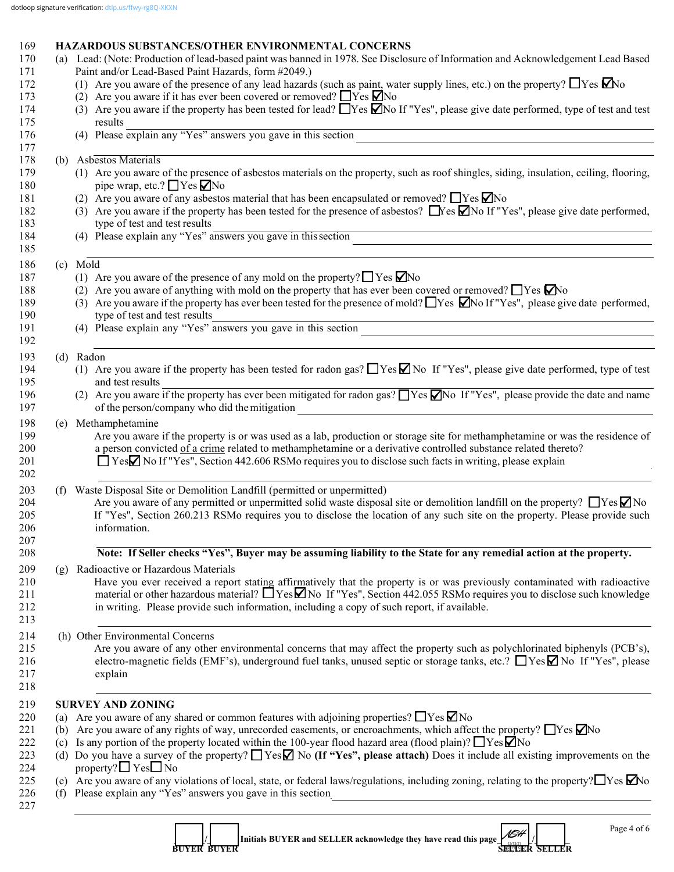# 169 **HAZARDOUS SUBSTANCES/OTHER ENVIRONMENTAL CONCERNS**

|     | (a) Lead: (Note: Production of lead-based paint was banned in 1978. See Disclosure of Information and Acknowledgement Lead Based<br>Paint and/or Lead-Based Paint Hazards, form #2049.)                                                                                            |
|-----|------------------------------------------------------------------------------------------------------------------------------------------------------------------------------------------------------------------------------------------------------------------------------------|
|     | (1) Are you aware of the presence of any lead hazards (such as paint, water supply lines, etc.) on the property? $\Box$ Yes $\Box$ No                                                                                                                                              |
|     | (2) Are you aware if it has ever been covered or removed? $\Box$ Yes $\Box$ No                                                                                                                                                                                                     |
|     | (3) Are you aware if the property has been tested for lead? $\Box$ Yes $\Box$ No If "Yes", please give date performed, type of test and test                                                                                                                                       |
|     | results                                                                                                                                                                                                                                                                            |
|     | results<br>(4) Please explain any "Yes" answers you gave in this section                                                                                                                                                                                                           |
|     | (b) Asbestos Materials                                                                                                                                                                                                                                                             |
|     | (1) Are you aware of the presence of asbestos materials on the property, such as roof shingles, siding, insulation, ceiling, flooring,                                                                                                                                             |
|     | pipe wrap, etc.? $\Box$ Yes $\Box$ No                                                                                                                                                                                                                                              |
|     | (2) Are you aware of any asbestos material that has been encapsulated or removed? $\Box$ Yes $\nabla$ No                                                                                                                                                                           |
|     | (3) Are you aware if the property has been tested for the presence of asbestos? $\Box$ Yes $\Box$ No If "Yes", please give date performed,                                                                                                                                         |
|     | type of test and test results                                                                                                                                                                                                                                                      |
|     | (4) Please explain any "Yes" answers you gave in this section<br><u> 1989 - Andrea Santa Andrea Andrea Santa Andrea Andrea Andrea Andrea Andrea Andrea Andrea Andrea Andrea Andre</u>                                                                                              |
|     | (c) Mold                                                                                                                                                                                                                                                                           |
|     | (1) Are you aware of the presence of any mold on the property? $\Box$ Yes $\Box$ No                                                                                                                                                                                                |
|     | (2) Are you aware of anything with mold on the property that has ever been covered or removed? $\Box$ Yes $\Box$ No                                                                                                                                                                |
|     | (3) Are you aware if the property has ever been tested for the presence of mold? These $\Box$ No If "Yes", please give date performed,<br>type of test and test results                                                                                                            |
|     | type of test and test results<br>(4) Please explain any "Yes" answers you gave in this section                                                                                                                                                                                     |
|     | (d) Radon                                                                                                                                                                                                                                                                          |
|     | (1) Are you aware if the property has been tested for radon gas? $\Box$ Yes $\Box$ No If "Yes", please give date performed, type of test                                                                                                                                           |
|     | and test results                                                                                                                                                                                                                                                                   |
|     | (2) Are you aware if the property has ever been mitigated for radon gas? TYes Mo If "Yes", please provide the date and name                                                                                                                                                        |
|     | of the person/company who did the mitigation<br><u> 1989 - Johann Stein, fransk politik (d. 1989)</u>                                                                                                                                                                              |
|     | (e) Methamphetamine                                                                                                                                                                                                                                                                |
|     | Are you aware if the property is or was used as a lab, production or storage site for methamphetamine or was the residence of                                                                                                                                                      |
|     | a person convicted of a crime related to methamphetamine or a derivative controlled substance related thereto?                                                                                                                                                                     |
|     | □ YesΩ No If "Yes", Section 442.606 RSMo requires you to disclose such facts in writing, please explain                                                                                                                                                                            |
| (f) | Waste Disposal Site or Demolition Landfill (permitted or unpermitted)                                                                                                                                                                                                              |
|     | Are you aware of any permitted or unpermitted solid waste disposal site or demolition landfill on the property? $\Box$ Yes $\Box$ No                                                                                                                                               |
|     | If "Yes", Section 260.213 RSMo requires you to disclose the location of any such site on the property. Please provide such                                                                                                                                                         |
|     | information.                                                                                                                                                                                                                                                                       |
|     | Note: If Seller checks "Yes", Buyer may be assuming liability to the State for any remedial action at the property.                                                                                                                                                                |
| (g) | Radioactive or Hazardous Materials                                                                                                                                                                                                                                                 |
|     | Have you ever received a report stating affirmatively that the property is or was previously contaminated with radioactive                                                                                                                                                         |
|     | material or other hazardous material? $\Box$ Yes $\Box$ No If "Yes", Section 442.055 RSMo requires you to disclose such knowledge                                                                                                                                                  |
|     | in writing. Please provide such information, including a copy of such report, if available.                                                                                                                                                                                        |
|     | (h) Other Environmental Concerns                                                                                                                                                                                                                                                   |
|     | Are you aware of any other environmental concerns that may affect the property such as polychlorinated biphenyls (PCB's),                                                                                                                                                          |
|     | electro-magnetic fields (EMF's), underground fuel tanks, unused septic or storage tanks, etc.? ■ Yes No If "Yes", please                                                                                                                                                           |
|     | explain                                                                                                                                                                                                                                                                            |
|     |                                                                                                                                                                                                                                                                                    |
|     | <b>SURVEY AND ZONING</b>                                                                                                                                                                                                                                                           |
| (a) | Are you aware of any shared or common features with adjoining properties? $\Box$ Yes $\Box$ No                                                                                                                                                                                     |
| (b) | Are you aware of any rights of way, unrecorded easements, or encroachments, which affect the property? $\Box$ Yes $\Box$ No                                                                                                                                                        |
| (c) | Is any portion of the property located within the 100-year flood hazard area (flood plain)? $\Box$ Yes $\Box$ No                                                                                                                                                                   |
| (d) | Do you have a survey of the property? $\Box$ Yes $\Box$ No (If "Yes", please attach) Does it include all existing improvements on the                                                                                                                                              |
|     | property? $\Box$ Yes $\Box$ No                                                                                                                                                                                                                                                     |
|     | (e) Are you aware of any violations of local, state, or federal laws/regulations, including zoning, relating to the property? $\Box$ Yes $\Box$ No<br>(f) Please explain any "Yes" answers you gave in this section<br><u> 1989 - Johann Stein, mars an de Francisco Barbara (</u> |
|     |                                                                                                                                                                                                                                                                                    |
|     | Page 4 of 6<br>$\overline{I}$                                                                                                                                                                                                                                                      |

**1**  $\begin{bmatrix} 1 \end{bmatrix}$  Initials BUYER and SELLER acknowledge they have read this page  $\begin{bmatrix} 1 \end{bmatrix}$  **BUYER BUYER SELLER SELLER** *16*#<br>Ri12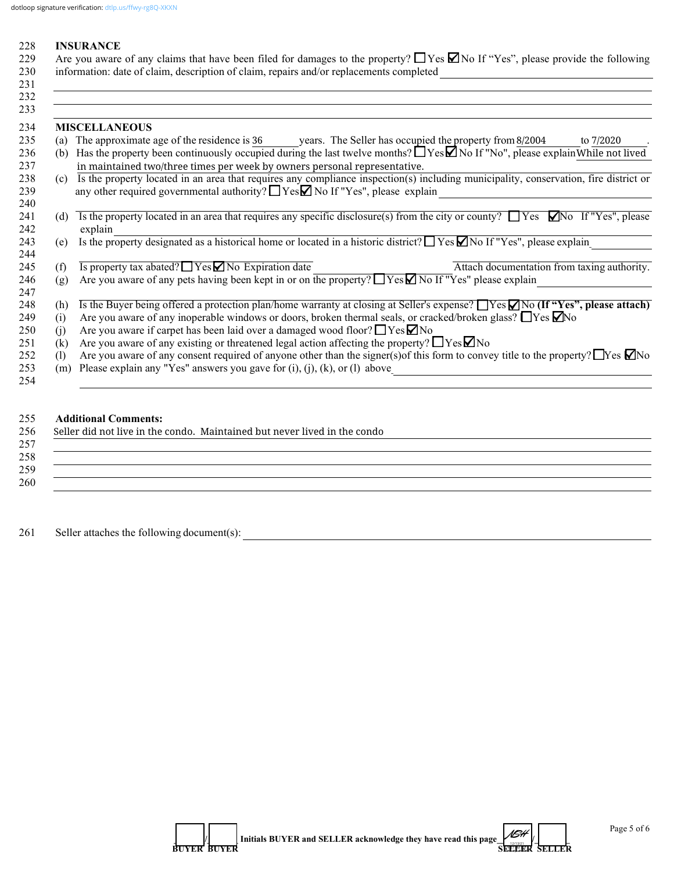#### 228 **INSURANCE**

229 Are you aware of any claims that have been filed for damages to the property?  $\Box$  Yes  $\Box$  No If "Yes", please provide the following 230 information: date of claim, description of claim, repairs and/or replacements completed  $231$ 

|                              | <b>MISCELLANEOUS</b>                                                                                                                                                                                                             |  |  |  |  |
|------------------------------|----------------------------------------------------------------------------------------------------------------------------------------------------------------------------------------------------------------------------------|--|--|--|--|
| (a)                          | The approximate age of the residence is 36 years. The Seller has occupied the property from 8/2004<br>to 7/2020                                                                                                                  |  |  |  |  |
| (b)                          | Has the property been continuously occupied during the last twelve months? $\Box$ Yes $\Box$ No If "No", please explain While not lived<br>in maintained two/three times per week by owners personal representative.             |  |  |  |  |
| (c)                          | Is the property located in an area that requires any compliance inspection(s) including municipality, conservation, fire district or<br>any other required governmental authority? $\Box$ Yes $\Box$ No If "Yes", please explain |  |  |  |  |
| (d)                          | Is the property located in an area that requires any specific disclosure(s) from the city or county? $\Box$ Yes $\Box$ No If "Yes", please<br>explain                                                                            |  |  |  |  |
| (e)                          | Is the property designated as a historical home or located in a historic district? $\Box$ Yes $\Box$ No If "Yes", please explain                                                                                                 |  |  |  |  |
| (f)                          | $\overline{Is}$ property tax abated? $\overline{Y}$ Yes $\overline{Y}$ No Expiration date<br>Attach documentation from taxing authority.                                                                                         |  |  |  |  |
| (g)                          | Are you aware of any pets having been kept in or on the property? ■ Yes No If "Yes" please explain                                                                                                                               |  |  |  |  |
| (h)                          | Is the Buyer being offered a protection plan/home warranty at closing at Seller's expense? TYes No (If "Yes", please attach)                                                                                                     |  |  |  |  |
| (i)                          | Are you aware of any inoperable windows or doors, broken thermal seals, or cracked/broken glass? $\Box$ Yes $\Box$ No                                                                                                            |  |  |  |  |
| (i)                          | Are you aware if carpet has been laid over a damaged wood floor? $\Box$ Yes $\nabla$ No                                                                                                                                          |  |  |  |  |
| (k)                          | Are you aware of any existing or threatened legal action affecting the property? $\Box$ Yes $\nabla$ No                                                                                                                          |  |  |  |  |
| $\left( \frac{1}{2} \right)$ | Are you aware of any consent required of anyone other than the signer(s) of this form to convey title to the property? $\Box$ Yes $\Box$ No                                                                                      |  |  |  |  |
| (m)                          | Please explain any "Yes" answers you gave for $(i)$ , $(j)$ , $(k)$ , or $(l)$ above                                                                                                                                             |  |  |  |  |

#### 255 **Additional Comments:**

| Seller did not live in the condo. Maintained but never lived in the condo |  |  |  |
|---------------------------------------------------------------------------|--|--|--|
|                                                                           |  |  |  |
|                                                                           |  |  |  |
|                                                                           |  |  |  |
|                                                                           |  |  |  |
|                                                                           |  |  |  |
|                                                                           |  |  |  |
|                                                                           |  |  |  |
|                                                                           |  |  |  |

261 Seller attaches the following document(s): \_\_\_\_\_\_\_\_\_\_\_\_\_\_\_\_\_\_\_\_\_\_\_\_\_\_\_\_\_\_\_\_\_\_